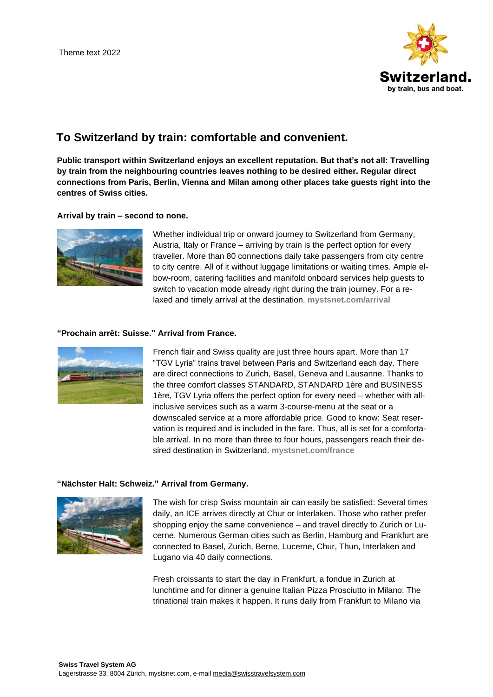

## **To Switzerland by train: comfortable and convenient.**

**Public transport within Switzerland enjoys an excellent reputation. But that's not all: Travelling by train from the neighbouring countries leaves nothing to be desired either. Regular direct connections from Paris, Berlin, Vienna and Milan among other places take guests right into the centres of Swiss cities.**

#### **Arrival by train – second to none.**



Whether individual trip or onward journey to Switzerland from Germany, Austria, Italy or France – arriving by train is the perfect option for every traveller. More than 80 connections daily take passengers from city centre to city centre. All of it without luggage limitations or waiting times. Ample elbow-room, catering facilities and manifold onboard services help guests to switch to vacation mode already right during the train journey. For a relaxed and timely arrival at the destination. **[mystsnet.com/arrival](https://www.mystsnet.com/en/information/swiss-travel-system/international-arrival/)**

### **"Prochain arrêt: Suisse." Arrival from France.**



French flair and Swiss quality are just three hours apart. More than 17 "TGV Lyria" trains travel between Paris and Switzerland each day. There are direct connections to Zurich, Basel, Geneva and Lausanne. Thanks to the three comfort classes STANDARD, STANDARD 1ère and BUSINESS 1ère, TGV Lyria offers the perfect option for every need – whether with allinclusive services such as a warm 3-course-menu at the seat or a downscaled service at a more affordable price. Good to know: Seat reservation is required and is included in the fare. Thus, all is set for a comfortable arrival. In no more than three to four hours, passengers reach their desired destination in Switzerland. **[mystsnet.com/france](https://www.mystsnet.com/en/information/swiss-travel-system/international-arrival/arrival-from-france/)**

#### **"Nächster Halt: Schweiz." Arrival from Germany.**



The wish for crisp Swiss mountain air can easily be satisfied: Several times daily, an ICE arrives directly at Chur or Interlaken. Those who rather prefer shopping enjoy the same convenience – and travel directly to Zurich or Lucerne. Numerous German cities such as Berlin, Hamburg and Frankfurt are connected to Basel, Zurich, Berne, Lucerne, Chur, Thun, Interlaken and Lugano via 40 daily connections.

Fresh croissants to start the day in Frankfurt, a fondue in Zurich at lunchtime and for dinner a genuine Italian Pizza Prosciutto in Milano: The trinational train makes it happen. It runs daily from Frankfurt to Milano via